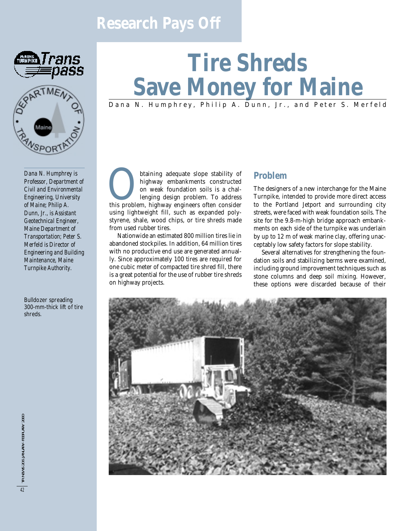## **Research Pays Off**





# **Tire Shreds Save Money for Maine**

### Dana N. Humphrey, Philip A. Dunn, Jr., and Peter S. Merfeld

*Dana N. Humphrey is Professor, Department of Civil and Environmental Engineering, University of Maine; Philip A. Dunn, Jr., is Assistant Geotechnical Engineer, Maine Department of Transportation; Peter S. Merfeld is Director of Engineering and Building Maintenance, Maine Turnpike Authority.*

Bulldozer spreading 300-mm-thick lift of tire shreds.

**Obtaining adequate slope stability of**<br>highway embankments constructed<br>on weak foundation soils is a chal-<br>lenging design problem. To address<br>this problem, highway engineers often consider highway embankments constructed on weak foundation soils is a challenging design problem. To address using lightweight fill, such as expanded polystyrene, shale, wood chips, or tire shreds made from used rubber tires.

Nationwide an estimated 800 million tires lie in abandoned stockpiles. In addition, 64 million tires with no productive end use are generated annually. Since approximately 100 tires are required for one cubic meter of compacted tire shred fill, there is a great potential for the use of rubber tire shreds on highway projects.

#### **Problem**

The designers of a new interchange for the Maine Turnpike, intended to provide more direct access to the Portland Jetport and surrounding city streets, were faced with weak foundation soils. The site for the 9.8-m-high bridge approach embankments on each side of the turnpike was underlain by up to 12 m of weak marine clay, offering unacceptably low safety factors for slope stability.

Several alternatives for strengthening the foundation soils and stabilizing berms were examined, including ground improvement techniques such as stone columns and deep soil mixing. However, these options were discarded because of their

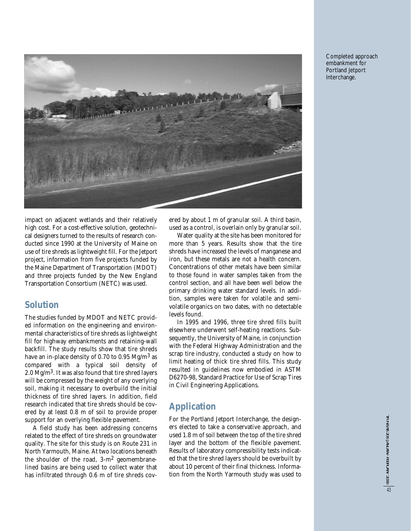

Completed approach embankment for Portland Jetport Interchange.

impact on adjacent wetlands and their relatively high cost. For a cost-effective solution, geotechnical designers turned to the results of research conducted since 1990 at the University of Maine on use of tire shreds as lightweight fill. For the Jetport project, information from five projects funded by the Maine Department of Transportation (MDOT) and three projects funded by the New England Transportation Consortium (NETC) was used.

#### **Solution**

The studies funded by MDOT and NETC provided information on the engineering and environmental characteristics of tire shreds as lightweight fill for highway embankments and retaining-wall backfill. The study results show that tire shreds have an in-place density of 0.70 to 0.95 Mg/m<sup>3</sup> as compared with a typical soil density of 2.0 Mg/m3. It was also found that tire shred layers will be compressed by the weight of any overlying soil, making it necessary to overbuild the initial thickness of tire shred layers. In addition, field research indicated that tire shreds should be covered by at least 0.8 m of soil to provide proper support for an overlying flexible pavement.

A field study has been addressing concerns related to the effect of tire shreds on groundwater quality. The site for this study is on Route 231 in North Yarmouth, Maine. At two locations beneath the shoulder of the road,  $3-m^2$  geomembranelined basins are being used to collect water that has infiltrated through 0.6 m of tire shreds covered by about 1 m of granular soil. A third basin, used as a control, is overlain only by granular soil.

Water quality at the site has been monitored for more than 5 years. Results show that the tire shreds have increased the levels of manganese and iron, but these metals are not a health concern. Concentrations of other metals have been similar to those found in water samples taken from the control section, and all have been well below the primary drinking water standard levels. In addition, samples were taken for volatile and semivolatile organics on two dates, with no detectable levels found.

In 1995 and 1996, three tire shred fills built elsewhere underwent self-heating reactions. Subsequently, the University of Maine, in conjunction with the Federal Highway Administration and the scrap tire industry, conducted a study on how to limit heating of thick tire shred fills. This study resulted in guidelines now embodied in ASTM D6270-98, Standard Practice for Use of Scrap Tires in Civil Engineering Applications.

#### **Application**

For the Portland Jetport Interchange, the designers elected to take a conservative approach, and used 1.8 m of soil between the top of the tire shred layer and the bottom of the flexible pavement. Results of laboratory compressibility tests indicated that the tire shred layers should be overbuilt by about 10 percent of their final thickness. Information from the North Yarmouth study was used to